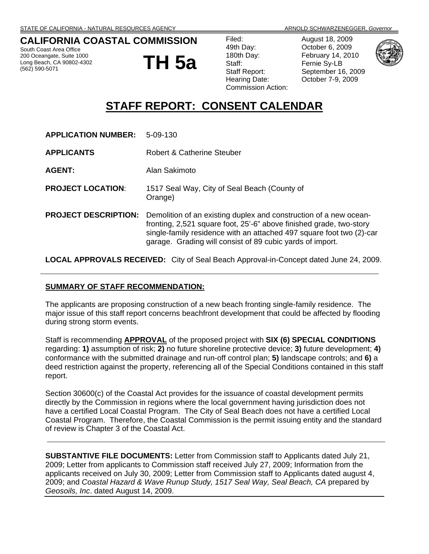#### **CALIFORNIA COASTAL COMMISSION**

South Coast Area Office 200 Oceangate, Suite 1000 Long Beach, CA 90802-4302 (562) 590-5071

**TH 5a**

| 49th Day:<br>180th Day:<br>Staff:<br><b>Staff Report:</b><br>Hearing Date:<br><b>Commission Action:</b> |
|---------------------------------------------------------------------------------------------------------|
|                                                                                                         |
|                                                                                                         |
|                                                                                                         |
|                                                                                                         |
|                                                                                                         |
|                                                                                                         |
|                                                                                                         |

August 18, 2009 October 6, 2009 February 14, 2010 Fernie Sy-LB September 16, 2009 October 7-9, 2009



## **STAFF REPORT: CONSENT CALENDAR**

| <b>APPLICATION NUMBER:</b>  | $5 - 09 - 130$                                                                                                                                                                                                                                                                |
|-----------------------------|-------------------------------------------------------------------------------------------------------------------------------------------------------------------------------------------------------------------------------------------------------------------------------|
| <b>APPLICANTS</b>           | <b>Robert &amp; Catherine Steuber</b>                                                                                                                                                                                                                                         |
| <b>AGENT:</b>               | Alan Sakimoto                                                                                                                                                                                                                                                                 |
| <b>PROJECT LOCATION:</b>    | 1517 Seal Way, City of Seal Beach (County of<br>Orange)                                                                                                                                                                                                                       |
| <b>PROJECT DESCRIPTION:</b> | Demolition of an existing duplex and construction of a new ocean-<br>fronting, 2,521 square foot, 25'-6" above finished grade, two-story<br>single-family residence with an attached 497 square foot two (2)-car<br>garage. Grading will consist of 89 cubic yards of import. |

**LOCAL APPROVALS RECEIVED:** City of Seal Beach Approval-in-Concept dated June 24, 2009.

#### **SUMMARY OF STAFF RECOMMENDATION:**

The applicants are proposing construction of a new beach fronting single-family residence. The major issue of this staff report concerns beachfront development that could be affected by flooding during strong storm events.

Staff is recommending **APPROVAL** of the proposed project with **SIX (6) SPECIAL CONDITIONS**  regarding: **1)** assumption of risk; **2)** no future shoreline protective device; **3)** future development; **4)** conformance with the submitted drainage and run-off control plan; **5)** landscape controls; and **6)** a deed restriction against the property, referencing all of the Special Conditions contained in this staff report.

Section 30600(c) of the Coastal Act provides for the issuance of coastal development permits directly by the Commission in regions where the local government having jurisdiction does not have a certified Local Coastal Program. The City of Seal Beach does not have a certified Local Coastal Program. Therefore, the Coastal Commission is the permit issuing entity and the standard of review is Chapter 3 of the Coastal Act.

**SUBSTANTIVE FILE DOCUMENTS:** Letter from Commission staff to Applicants dated July 21, 2009; Letter from applicants to Commission staff received July 27, 2009; Information from the applicants received on July 30, 2009; Letter from Commission staff to Applicants dated august 4, 2009; and *Coastal Hazard & Wave Runup Study, 1517 Seal Way, Seal Beach, CA* prepared by *Geosoils, Inc*. dated August 14, 2009.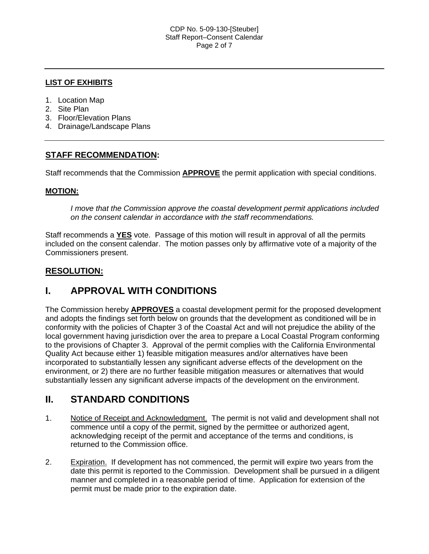#### **LIST OF EXHIBITS**

- 1. Location Map
- 2. Site Plan
- 3. Floor/Elevation Plans
- 4. Drainage/Landscape Plans

### **STAFF RECOMMENDATION:**

Staff recommends that the Commission **APPROVE** the permit application with special conditions.

#### **MOTION:**

*I move that the Commission approve the coastal development permit applications included on the consent calendar in accordance with the staff recommendations.*

Staff recommends a **YES** vote. Passage of this motion will result in approval of all the permits included on the consent calendar. The motion passes only by affirmative vote of a majority of the Commissioners present.

#### **RESOLUTION:**

## **I. APPROVAL WITH CONDITIONS**

The Commission hereby **APPROVES** a coastal development permit for the proposed development and adopts the findings set forth below on grounds that the development as conditioned will be in conformity with the policies of Chapter 3 of the Coastal Act and will not prejudice the ability of the local government having jurisdiction over the area to prepare a Local Coastal Program conforming to the provisions of Chapter 3. Approval of the permit complies with the California Environmental Quality Act because either 1) feasible mitigation measures and/or alternatives have been incorporated to substantially lessen any significant adverse effects of the development on the environment, or 2) there are no further feasible mitigation measures or alternatives that would substantially lessen any significant adverse impacts of the development on the environment.

## **II. STANDARD CONDITIONS**

- 1. Notice of Receipt and Acknowledgment. The permit is not valid and development shall not commence until a copy of the permit, signed by the permittee or authorized agent, acknowledging receipt of the permit and acceptance of the terms and conditions, is returned to the Commission office.
- 2. Expiration. If development has not commenced, the permit will expire two years from the date this permit is reported to the Commission. Development shall be pursued in a diligent manner and completed in a reasonable period of time. Application for extension of the permit must be made prior to the expiration date.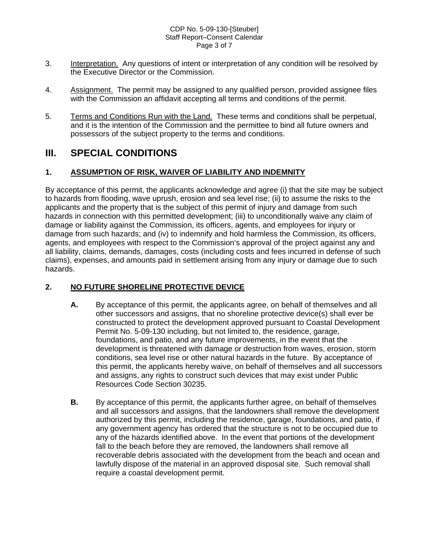#### CDP No. 5-09-130-[Steuber] Staff Report–Consent Calendar Page 3 of 7

- 3. Interpretation. Any questions of intent or interpretation of any condition will be resolved by the Executive Director or the Commission.
- 4. Assignment. The permit may be assigned to any qualified person, provided assignee files with the Commission an affidavit accepting all terms and conditions of the permit.
- 5. Terms and Conditions Run with the Land. These terms and conditions shall be perpetual, and it is the intention of the Commission and the permittee to bind all future owners and possessors of the subject property to the terms and conditions.

## **III. SPECIAL CONDITIONS**

#### **1. ASSUMPTION OF RISK, WAIVER OF LIABILITY AND INDEMNITY**

By acceptance of this permit, the applicants acknowledge and agree (i) that the site may be subject to hazards from flooding, wave uprush, erosion and sea level rise; (ii) to assume the risks to the applicants and the property that is the subject of this permit of injury and damage from such hazards in connection with this permitted development; (iii) to unconditionally waive any claim of damage or liability against the Commission, its officers, agents, and employees for injury or damage from such hazards; and (iv) to indemnify and hold harmless the Commission, its officers, agents, and employees with respect to the Commission's approval of the project against any and all liability, claims, demands, damages, costs (including costs and fees incurred in defense of such claims), expenses, and amounts paid in settlement arising from any injury or damage due to such hazards.

#### **2. NO FUTURE SHORELINE PROTECTIVE DEVICE**

- **A.** By acceptance of this permit, the applicants agree, on behalf of themselves and all other successors and assigns, that no shoreline protective device(s) shall ever be constructed to protect the development approved pursuant to Coastal Development Permit No. 5-09-130 including, but not limited to, the residence, garage, foundations, and patio, and any future improvements, in the event that the development is threatened with damage or destruction from waves, erosion, storm conditions, sea level rise or other natural hazards in the future. By acceptance of this permit, the applicants hereby waive, on behalf of themselves and all successors and assigns, any rights to construct such devices that may exist under Public Resources Code Section 30235.
- **B.** By acceptance of this permit, the applicants further agree, on behalf of themselves and all successors and assigns, that the landowners shall remove the development authorized by this permit, including the residence, garage, foundations, and patio, if any government agency has ordered that the structure is not to be occupied due to any of the hazards identified above. In the event that portions of the development fall to the beach before they are removed, the landowners shall remove all recoverable debris associated with the development from the beach and ocean and lawfully dispose of the material in an approved disposal site. Such removal shall require a coastal development permit.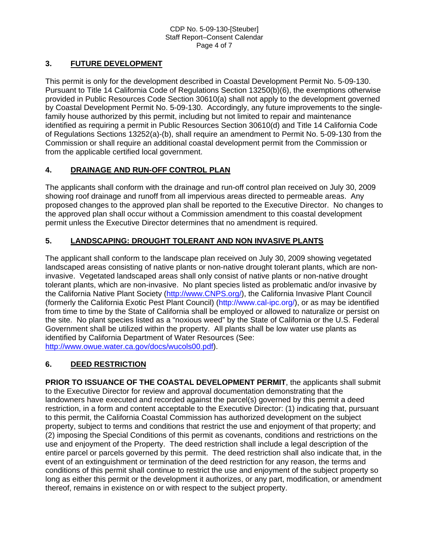### **3. FUTURE DEVELOPMENT**

This permit is only for the development described in Coastal Development Permit No. 5-09-130. Pursuant to Title 14 California Code of Regulations Section 13250(b)(6), the exemptions otherwise provided in Public Resources Code Section 30610(a) shall not apply to the development governed by Coastal Development Permit No. 5-09-130. Accordingly, any future improvements to the singlefamily house authorized by this permit, including but not limited to repair and maintenance identified as requiring a permit in Public Resources Section 30610(d) and Title 14 California Code of Regulations Sections 13252(a)-(b), shall require an amendment to Permit No. 5-09-130 from the Commission or shall require an additional coastal development permit from the Commission or from the applicable certified local government.

#### **4. DRAINAGE AND RUN-OFF CONTROL PLAN**

The applicants shall conform with the drainage and run-off control plan received on July 30, 2009 showing roof drainage and runoff from all impervious areas directed to permeable areas. Any proposed changes to the approved plan shall be reported to the Executive Director. No changes to the approved plan shall occur without a Commission amendment to this coastal development permit unless the Executive Director determines that no amendment is required.

#### **5. LANDSCAPING: DROUGHT TOLERANT AND NON INVASIVE PLANTS**

The applicant shall conform to the landscape plan received on July 30, 2009 showing vegetated landscaped areas consisting of native plants or non-native drought tolerant plants, which are noninvasive. Vegetated landscaped areas shall only consist of native plants or non-native drought tolerant plants, which are non-invasive. No plant species listed as problematic and/or invasive by the California Native Plant Society ([http://www.CNPS.org/\)](http://www.cnps.org/), the California Invasive Plant Council (formerly the California Exotic Pest Plant Council) [\(http://www.cal-ipc.org/\)](http://www.cal-ipc.org/), or as may be identified from time to time by the State of California shall be employed or allowed to naturalize or persist on the site. No plant species listed as a "noxious weed" by the State of California or the U.S. Federal Government shall be utilized within the property. All plants shall be low water use plants as identified by California Department of Water Resources (See: <http://www.owue.water.ca.gov/docs/wucols00.pdf>).

#### **6. DEED RESTRICTION**

**PRIOR TO ISSUANCE OF THE COASTAL DEVELOPMENT PERMIT**, the applicants shall submit to the Executive Director for review and approval documentation demonstrating that the landowners have executed and recorded against the parcel(s) governed by this permit a deed restriction, in a form and content acceptable to the Executive Director: (1) indicating that, pursuant to this permit, the California Coastal Commission has authorized development on the subject property, subject to terms and conditions that restrict the use and enjoyment of that property; and (2) imposing the Special Conditions of this permit as covenants, conditions and restrictions on the use and enjoyment of the Property. The deed restriction shall include a legal description of the entire parcel or parcels governed by this permit. The deed restriction shall also indicate that, in the event of an extinguishment or termination of the deed restriction for any reason, the terms and conditions of this permit shall continue to restrict the use and enjoyment of the subject property so long as either this permit or the development it authorizes, or any part, modification, or amendment thereof, remains in existence on or with respect to the subject property.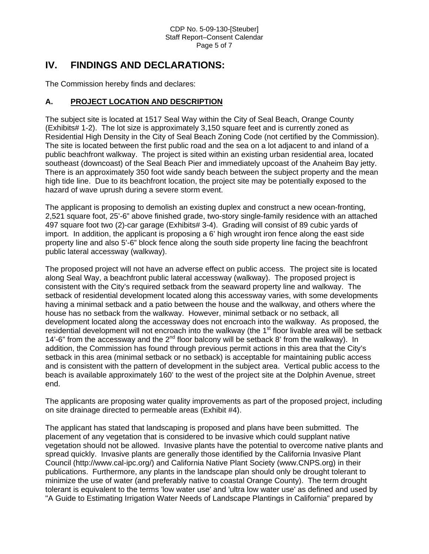## **IV. FINDINGS AND DECLARATIONS:**

The Commission hereby finds and declares:

#### **A. PROJECT LOCATION AND DESCRIPTION**

The subject site is located at 1517 Seal Way within the City of Seal Beach, Orange County (Exhibits# 1-2). The lot size is approximately 3,150 square feet and is currently zoned as Residential High Density in the City of Seal Beach Zoning Code (not certified by the Commission). The site is located between the first public road and the sea on a lot adjacent to and inland of a public beachfront walkway. The project is sited within an existing urban residential area, located southeast (downcoast) of the Seal Beach Pier and immediately upcoast of the Anaheim Bay jetty. There is an approximately 350 foot wide sandy beach between the subject property and the mean high tide line. Due to its beachfront location, the project site may be potentially exposed to the hazard of wave uprush during a severe storm event.

The applicant is proposing to demolish an existing duplex and construct a new ocean-fronting, 2,521 square foot, 25'-6" above finished grade, two-story single-family residence with an attached 497 square foot two (2)-car garage (Exhibits# 3-4). Grading will consist of 89 cubic yards of import. In addition, the applicant is proposing a 6' high wrought iron fence along the east side property line and also 5'-6" block fence along the south side property line facing the beachfront public lateral accessway (walkway).

The proposed project will not have an adverse effect on public access. The project site is located along Seal Way, a beachfront public lateral accessway (walkway). The proposed project is consistent with the City's required setback from the seaward property line and walkway. The setback of residential development located along this accessway varies, with some developments having a minimal setback and a patio between the house and the walkway, and others where the house has no setback from the walkway. However, minimal setback or no setback, all development located along the accessway does not encroach into the walkway. As proposed, the residential development will not encroach into the walkway (the 1<sup>st</sup> floor livable area will be setback 14'-6" from the accessway and the  $2^{nd}$  floor balcony will be setback 8' from the walkway). In addition, the Commission has found through previous permit actions in this area that the City's setback in this area (minimal setback or no setback) is acceptable for maintaining public access and is consistent with the pattern of development in the subject area. Vertical public access to the beach is available approximately 160' to the west of the project site at the Dolphin Avenue, street end.

The applicants are proposing water quality improvements as part of the proposed project, including on site drainage directed to permeable areas (Exhibit #4).

The applicant has stated that landscaping is proposed and plans have been submitted. The placement of any vegetation that is considered to be invasive which could supplant native vegetation should not be allowed. Invasive plants have the potential to overcome native plants and spread quickly. Invasive plants are generally those identified by the California Invasive Plant Council (http://www.cal-ipc.org/) and California Native Plant Society (www.CNPS.org) in their publications. Furthermore, any plants in the landscape plan should only be drought tolerant to minimize the use of water (and preferably native to coastal Orange County). The term drought tolerant is equivalent to the terms 'low water use' and 'ultra low water use' as defined and used by "A Guide to Estimating Irrigation Water Needs of Landscape Plantings in California" prepared by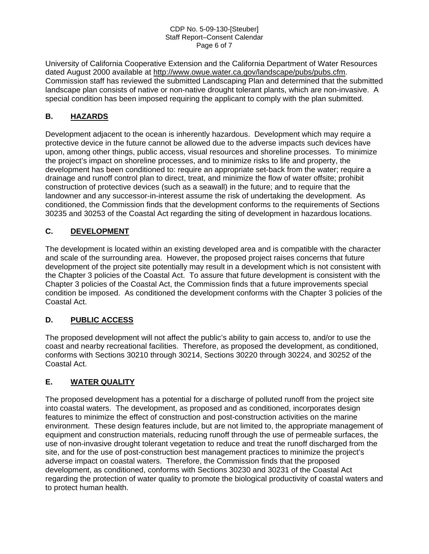#### CDP No. 5-09-130-[Steuber] Staff Report–Consent Calendar Page 6 of 7

University of California Cooperative Extension and the California Department of Water Resources dated August 2000 available at [http://www.owue.water.ca.gov/landscape/pubs/pubs.cfm.](http://www.owue.water.ca.gov/landscape/pubs/pubs.cfm) Commission staff has reviewed the submitted Landscaping Plan and determined that the submitted landscape plan consists of native or non-native drought tolerant plants, which are non-invasive. A special condition has been imposed requiring the applicant to comply with the plan submitted.

### **B. HAZARDS**

Development adjacent to the ocean is inherently hazardous. Development which may require a protective device in the future cannot be allowed due to the adverse impacts such devices have upon, among other things, public access, visual resources and shoreline processes. To minimize the project's impact on shoreline processes, and to minimize risks to life and property, the development has been conditioned to: require an appropriate set-back from the water; require a drainage and runoff control plan to direct, treat, and minimize the flow of water offsite; prohibit construction of protective devices (such as a seawall) in the future; and to require that the landowner and any successor-in-interest assume the risk of undertaking the development. As conditioned, the Commission finds that the development conforms to the requirements of Sections 30235 and 30253 of the Coastal Act regarding the siting of development in hazardous locations.

#### **C. DEVELOPMENT**

The development is located within an existing developed area and is compatible with the character and scale of the surrounding area. However, the proposed project raises concerns that future development of the project site potentially may result in a development which is not consistent with the Chapter 3 policies of the Coastal Act. To assure that future development is consistent with the Chapter 3 policies of the Coastal Act, the Commission finds that a future improvements special condition be imposed. As conditioned the development conforms with the Chapter 3 policies of the Coastal Act.

#### **D. PUBLIC ACCESS**

The proposed development will not affect the public's ability to gain access to, and/or to use the coast and nearby recreational facilities. Therefore, as proposed the development, as conditioned, conforms with Sections 30210 through 30214, Sections 30220 through 30224, and 30252 of the Coastal Act.

#### **E. WATER QUALITY**

The proposed development has a potential for a discharge of polluted runoff from the project site into coastal waters. The development, as proposed and as conditioned, incorporates design features to minimize the effect of construction and post-construction activities on the marine environment. These design features include, but are not limited to, the appropriate management of equipment and construction materials, reducing runoff through the use of permeable surfaces, the use of non-invasive drought tolerant vegetation to reduce and treat the runoff discharged from the site, and for the use of post-construction best management practices to minimize the project's adverse impact on coastal waters. Therefore, the Commission finds that the proposed development, as conditioned, conforms with Sections 30230 and 30231 of the Coastal Act regarding the protection of water quality to promote the biological productivity of coastal waters and to protect human health.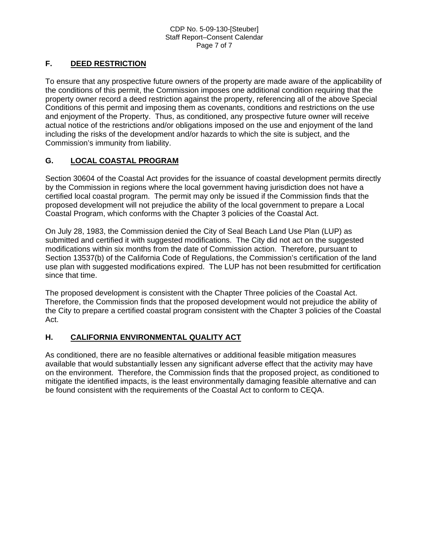### **F. DEED RESTRICTION**

To ensure that any prospective future owners of the property are made aware of the applicability of the conditions of this permit, the Commission imposes one additional condition requiring that the property owner record a deed restriction against the property, referencing all of the above Special Conditions of this permit and imposing them as covenants, conditions and restrictions on the use and enjoyment of the Property. Thus, as conditioned, any prospective future owner will receive actual notice of the restrictions and/or obligations imposed on the use and enjoyment of the land including the risks of the development and/or hazards to which the site is subject, and the Commission's immunity from liability.

#### **G. LOCAL COASTAL PROGRAM**

Section 30604 of the Coastal Act provides for the issuance of coastal development permits directly by the Commission in regions where the local government having jurisdiction does not have a certified local coastal program. The permit may only be issued if the Commission finds that the proposed development will not prejudice the ability of the local government to prepare a Local Coastal Program, which conforms with the Chapter 3 policies of the Coastal Act.

On July 28, 1983, the Commission denied the City of Seal Beach Land Use Plan (LUP) as submitted and certified it with suggested modifications. The City did not act on the suggested modifications within six months from the date of Commission action. Therefore, pursuant to Section 13537(b) of the California Code of Regulations, the Commission's certification of the land use plan with suggested modifications expired. The LUP has not been resubmitted for certification since that time.

The proposed development is consistent with the Chapter Three policies of the Coastal Act. Therefore, the Commission finds that the proposed development would not prejudice the ability of the City to prepare a certified coastal program consistent with the Chapter 3 policies of the Coastal Act.

#### **H. CALIFORNIA ENVIRONMENTAL QUALITY ACT**

As conditioned, there are no feasible alternatives or additional feasible mitigation measures available that would substantially lessen any significant adverse effect that the activity may have on the environment. Therefore, the Commission finds that the proposed project, as conditioned to mitigate the identified impacts, is the least environmentally damaging feasible alternative and can be found consistent with the requirements of the Coastal Act to conform to CEQA.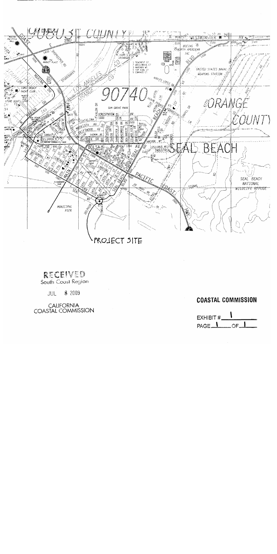

# RECEIVED

South Coast Region

8 2009 JUL

CALIFORNIA<br>COASTAL COMMISSION

## **COASTAL COMMISSION**

EXHIBIT # PAGE<sub>1</sub> OF\_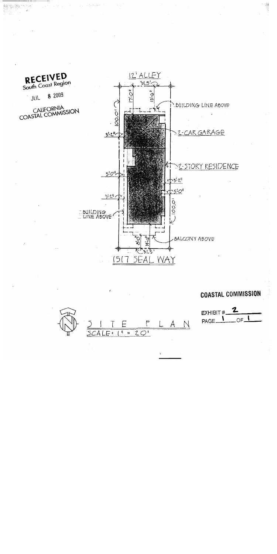

E

 $SCALE:$   $\frac{1}{1}$  =

# **COASTAL COMMISSION**

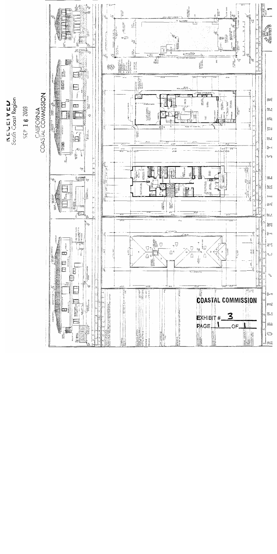

**KEWEIVEN**<br>South Coast Region

SEP 16 2009